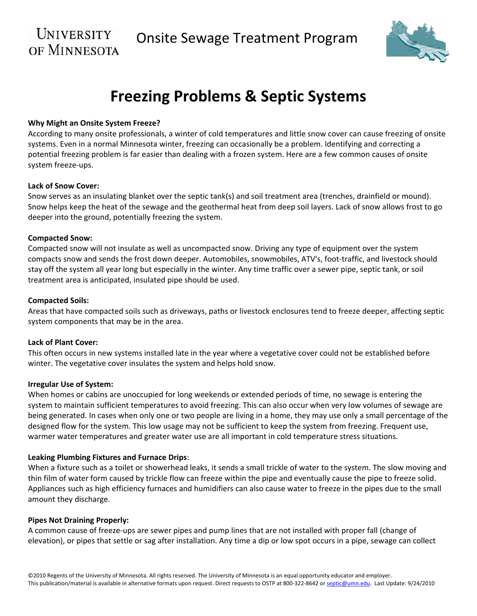# UNIVERSITY



# **Freezing Problems & Septic Systems**

# **Why Might an Onsite System Freeze?**

According to many onsite professionals, a winter of cold temperatures and little snow cover can cause freezing of onsite systems. Even in a normal Minnesota winter, freezing can occasionally be a problem. Identifying and correcting a potential freezing problem is far easier than dealing with a frozen system. Here are a few common causes of onsite system freeze‐ups.

#### **Lack of Snow Cover:**

Snow serves as an insulating blanket over the septic tank(s) and soil treatment area (trenches, drainfield or mound). Snow helps keep the heat of the sewage and the geothermal heat from deep soil layers. Lack of snow allows frost to go deeper into the ground, potentially freezing the system.

#### **Compacted Snow:**

Compacted snow will not insulate as well as uncompacted snow. Driving any type of equipment over the system compacts snow and sends the frost down deeper. Automobiles, snowmobiles, ATV's, foot‐traffic, and livestock should stay off the system all year long but especially in the winter. Any time traffic over a sewer pipe, septic tank, or soil treatment area is anticipated, insulated pipe should be used.

#### **Compacted Soils:**

Areas that have compacted soils such as driveways, paths or livestock enclosures tend to freeze deeper, affecting septic system components that may be in the area.

# **Lack of Plant Cover:**

This often occurs in new systems installed late in the year where a vegetative cover could not be established before winter. The vegetative cover insulates the system and helps hold snow.

#### **Irregular Use of System:**

When homes or cabins are unoccupied for long weekends or extended periods of time, no sewage is entering the system to maintain sufficient temperatures to avoid freezing. This can also occur when very low volumes of sewage are being generated. In cases when only one or two people are living in a home, they may use only a small percentage of the designed flow for the system. This low usage may not be sufficient to keep the system from freezing. Frequent use, warmer water temperatures and greater water use are all important in cold temperature stress situations.

# **Leaking Plumbing Fixtures and Furnace Drips:**

When a fixture such as a toilet or showerhead leaks, it sends a small trickle of water to the system. The slow moving and thin film of water form caused by trickle flow can freeze within the pipe and eventually cause the pipe to freeze solid. Appliances such as high efficiency furnaces and humidifiers can also cause water to freeze in the pipes due to the small amount they discharge.

# **Pipes Not Draining Properly:**

A common cause of freeze‐ups are sewer pipes and pump lines that are not installed with proper fall (change of elevation), or pipes that settle or sag after installation. Any time a dip or low spot occurs in a pipe, sewage can collect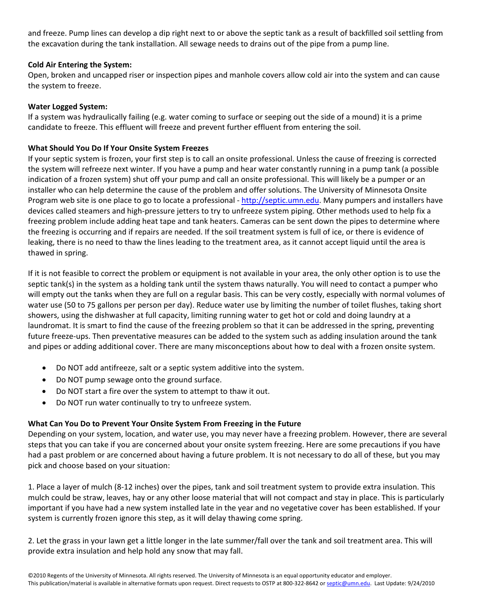and freeze. Pump lines can develop a dip right next to or above the septic tank as a result of backfilled soil settling from the excavation during the tank installation. All sewage needs to drains out of the pipe from a pump line.

# **Cold Air Entering the System:**

Open, broken and uncapped riser or inspection pipes and manhole covers allow cold air into the system and can cause the system to freeze.

# **Water Logged System:**

If a system was hydraulically failing (e.g. water coming to surface or seeping out the side of a mound) it is a prime candidate to freeze. This effluent will freeze and prevent further effluent from entering the soil.

# **What Should You Do If Your Onsite System Freezes**

If your septic system is frozen, your first step is to call an onsite professional. Unless the cause of freezing is corrected the system will refreeze next winter. If you have a pump and hear water constantly running in a pump tank (a possible indication of a frozen system) shut off your pump and call an onsite professional. This will likely be a pumper or an installer who can help determine the cause of the problem and offer solutions. The University of Minnesota Onsite Program web site is one place to go to locate a professional - http://septic.umn.edu. Many pumpers and installers have devices called steamers and high‐pressure jetters to try to unfreeze system piping. Other methods used to help fix a freezing problem include adding heat tape and tank heaters. Cameras can be sent down the pipes to determine where the freezing is occurring and if repairs are needed. If the soil treatment system is full of ice, or there is evidence of leaking, there is no need to thaw the lines leading to the treatment area, as it cannot accept liquid until the area is thawed in spring.

If it is not feasible to correct the problem or equipment is not available in your area, the only other option is to use the septic tank(s) in the system as a holding tank until the system thaws naturally. You will need to contact a pumper who will empty out the tanks when they are full on a regular basis. This can be very costly, especially with normal volumes of water use (50 to 75 gallons per person per day). Reduce water use by limiting the number of toilet flushes, taking short showers, using the dishwasher at full capacity, limiting running water to get hot or cold and doing laundry at a laundromat. It is smart to find the cause of the freezing problem so that it can be addressed in the spring, preventing future freeze-ups. Then preventative measures can be added to the system such as adding insulation around the tank and pipes or adding additional cover. There are many misconceptions about how to deal with a frozen onsite system.

- Do NOT add antifreeze, salt or a septic system additive into the system.
- Do NOT pump sewage onto the ground surface.
- Do NOT start a fire over the system to attempt to thaw it out.
- Do NOT run water continually to try to unfreeze system.

# **What Can You Do to Prevent Your Onsite System From Freezing in the Future**

Depending on your system, location, and water use, you may never have a freezing problem. However, there are several steps that you can take if you are concerned about your onsite system freezing. Here are some precautions if you have had a past problem or are concerned about having a future problem. It is not necessary to do all of these, but you may pick and choose based on your situation:

1. Place a layer of mulch (8‐12 inches) over the pipes, tank and soil treatment system to provide extra insulation. This mulch could be straw, leaves, hay or any other loose material that will not compact and stay in place. This is particularly important if you have had a new system installed late in the year and no vegetative cover has been established. If your system is currently frozen ignore this step, as it will delay thawing come spring.

2. Let the grass in your lawn get a little longer in the late summer/fall over the tank and soil treatment area. This will provide extra insulation and help hold any snow that may fall.